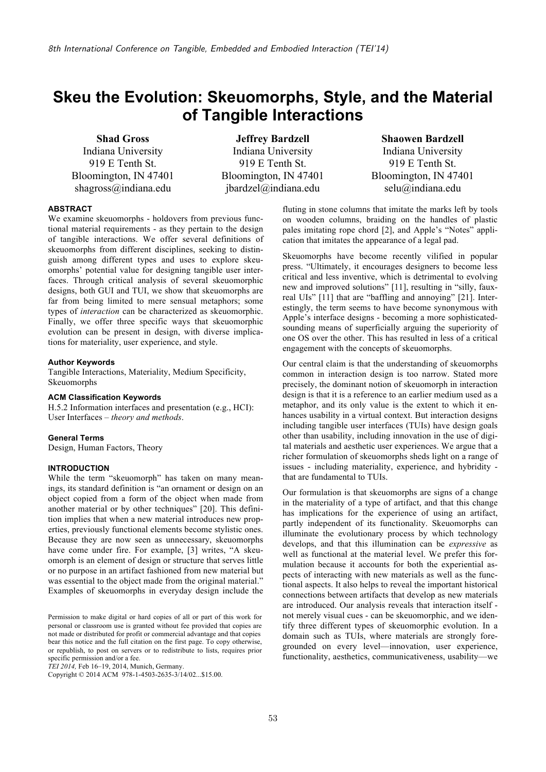# **Skeu the Evolution: Skeuomorphs, Style, and the Material of Tangible Interactions**

**Shad Gross** Indiana University 919 E Tenth St. Bloomington, IN 47401 shagross@indiana.edu

**Jeffrey Bardzell** Indiana University 919 E Tenth St. Bloomington, IN 47401 jbardzel@indiana.edu

**Shaowen Bardzell** Indiana University 919 E Tenth St. Bloomington, IN 47401 selu@indiana.edu

# **ABSTRACT**

We examine skeuomorphs - holdovers from previous functional material requirements - as they pertain to the design of tangible interactions. We offer several definitions of skeuomorphs from different disciplines, seeking to distinguish among different types and uses to explore skeuomorphs' potential value for designing tangible user interfaces. Through critical analysis of several skeuomorphic designs, both GUI and TUI, we show that skeuomorphs are far from being limited to mere sensual metaphors; some types of *interaction* can be characterized as skeuomorphic. Finally, we offer three specific ways that skeuomorphic evolution can be present in design, with diverse implications for materiality, user experience, and style.

#### **Author Keywords**

Tangible Interactions, Materiality, Medium Specificity, Skeuomorphs

# **ACM Classification Keywords**

H.5.2 Information interfaces and presentation (e.g., HCI): User Interfaces – *theory and methods*.

## **General Terms**

Design, Human Factors, Theory

# **INTRODUCTION**

While the term "skeuomorph" has taken on many meanings, its standard definition is "an ornament or design on an object copied from a form of the object when made from another material or by other techniques" [20]. This definition implies that when a new material introduces new properties, previously functional elements become stylistic ones. Because they are now seen as unnecessary, skeuomorphs have come under fire. For example, [3] writes, "A skeuomorph is an element of design or structure that serves little or no purpose in an artifact fashioned from new material but was essential to the object made from the original material." Examples of skeuomorphs in everyday design include the

*TEI 2014,* Feb 16–19, 2014, Munich, Germany.

Copyright © 2014 ACM 978-1-4503-2635-3/14/02...\$15.00.

fluting in stone columns that imitate the marks left by tools on wooden columns, braiding on the handles of plastic pales imitating rope chord [2], and Apple's "Notes" application that imitates the appearance of a legal pad.

Skeuomorphs have become recently vilified in popular press. "Ultimately, it encourages designers to become less critical and less inventive, which is detrimental to evolving new and improved solutions" [11], resulting in "silly, fauxreal UIs" [11] that are "baffling and annoying" [21]. Interestingly, the term seems to have become synonymous with Apple's interface designs - becoming a more sophisticatedsounding means of superficially arguing the superiority of one OS over the other. This has resulted in less of a critical engagement with the concepts of skeuomorphs.

Our central claim is that the understanding of skeuomorphs common in interaction design is too narrow. Stated more precisely, the dominant notion of skeuomorph in interaction design is that it is a reference to an earlier medium used as a metaphor, and its only value is the extent to which it enhances usability in a virtual context. But interaction designs including tangible user interfaces (TUIs) have design goals other than usability, including innovation in the use of digital materials and aesthetic user experiences. We argue that a richer formulation of skeuomorphs sheds light on a range of issues - including materiality, experience, and hybridity that are fundamental to TUIs.

Our formulation is that skeuomorphs are signs of a change in the materiality of a type of artifact, and that this change has implications for the experience of using an artifact, partly independent of its functionality. Skeuomorphs can illuminate the evolutionary process by which technology develops, and that this illumination can be *expressive* as well as functional at the material level. We prefer this formulation because it accounts for both the experiential aspects of interacting with new materials as well as the functional aspects. It also helps to reveal the important historical connections between artifacts that develop as new materials are introduced. Our analysis reveals that interaction itself not merely visual cues - can be skeuomorphic, and we identify three different types of skeuomorphic evolution. In a domain such as TUIs, where materials are strongly foregrounded on every level—innovation, user experience, functionality, aesthetics, communicativeness, usability—we

Permission to make digital or hard copies of all or part of this work for personal or classroom use is granted without fee provided that copies are not made or distributed for profit or commercial advantage and that copies bear this notice and the full citation on the first page. To copy otherwise, or republish, to post on servers or to redistribute to lists, requires prior specific permission and/or a fee.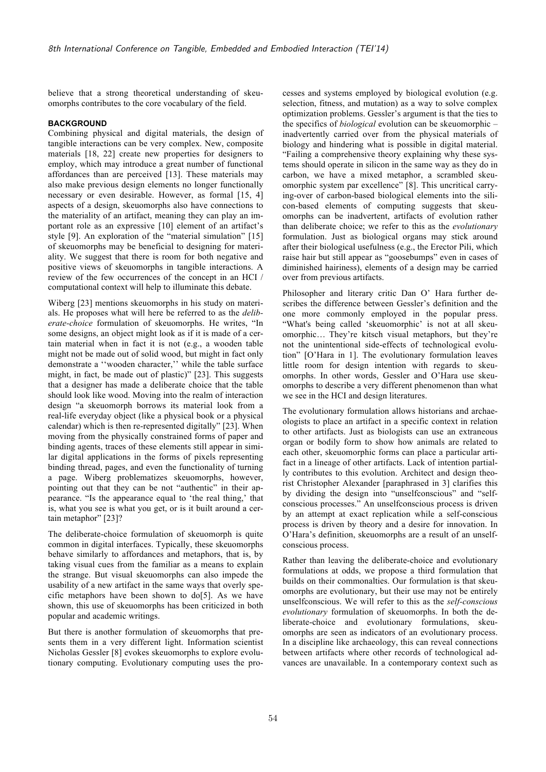believe that a strong theoretical understanding of skeuomorphs contributes to the core vocabulary of the field.

# **BACKGROUND**

Combining physical and digital materials, the design of tangible interactions can be very complex. New, composite materials [18, 22] create new properties for designers to employ, which may introduce a great number of functional affordances than are perceived [13]. These materials may also make previous design elements no longer functionally necessary or even desirable. However, as formal [15, 4] aspects of a design, skeuomorphs also have connections to the materiality of an artifact, meaning they can play an important role as an expressive [10] element of an artifact's style [9]. An exploration of the "material simulation" [15] of skeuomorphs may be beneficial to designing for materiality. We suggest that there is room for both negative and positive views of skeuomorphs in tangible interactions. A review of the few occurrences of the concept in an HCI / computational context will help to illuminate this debate.

Wiberg [23] mentions skeuomorphs in his study on materials. He proposes what will here be referred to as the *deliberate-choice* formulation of skeuomorphs. He writes, "In some designs, an object might look as if it is made of a certain material when in fact it is not (e.g., a wooden table might not be made out of solid wood, but might in fact only demonstrate a ''wooden character,'' while the table surface might, in fact, be made out of plastic)" [23]. This suggests that a designer has made a deliberate choice that the table should look like wood. Moving into the realm of interaction design "a skeuomorph borrows its material look from a real-life everyday object (like a physical book or a physical calendar) which is then re-represented digitally" [23]. When moving from the physically constrained forms of paper and binding agents, traces of these elements still appear in similar digital applications in the forms of pixels representing binding thread, pages, and even the functionality of turning a page. Wiberg problematizes skeuomorphs, however, pointing out that they can be not "authentic" in their appearance. "Is the appearance equal to 'the real thing,' that is, what you see is what you get, or is it built around a certain metaphor" [23]?

The deliberate-choice formulation of skeuomorph is quite common in digital interfaces. Typically, these skeuomorphs behave similarly to affordances and metaphors, that is, by taking visual cues from the familiar as a means to explain the strange. But visual skeuomorphs can also impede the usability of a new artifact in the same ways that overly specific metaphors have been shown to do[5]. As we have shown, this use of skeuomorphs has been criticized in both popular and academic writings.

But there is another formulation of skeuomorphs that presents them in a very different light. Information scientist Nicholas Gessler [8] evokes skeuomorphs to explore evolutionary computing. Evolutionary computing uses the processes and systems employed by biological evolution (e.g. selection, fitness, and mutation) as a way to solve complex optimization problems. Gessler's argument is that the ties to the specifics of *biological* evolution can be skeuomorphic – inadvertently carried over from the physical materials of biology and hindering what is possible in digital material. "Failing a comprehensive theory explaining why these systems should operate in silicon in the same way as they do in carbon, we have a mixed metaphor, a scrambled skeuomorphic system par excellence" [8]. This uncritical carrying-over of carbon-based biological elements into the silicon-based elements of computing suggests that skeuomorphs can be inadvertent, artifacts of evolution rather than deliberate choice; we refer to this as the *evolutionary* formulation. Just as biological organs may stick around after their biological usefulness (e.g., the Erector Pili, which raise hair but still appear as "goosebumps" even in cases of diminished hairiness), elements of a design may be carried over from previous artifacts.

Philosopher and literary critic Dan O' Hara further describes the difference between Gessler's definition and the one more commonly employed in the popular press. "What's being called 'skeuomorphic' is not at all skeuomorphic… They're kitsch visual metaphors, but they're not the unintentional side-effects of technological evolution" [O'Hara in 1]. The evolutionary formulation leaves little room for design intention with regards to skeuomorphs. In other words, Gessler and O'Hara use skeuomorphs to describe a very different phenomenon than what we see in the HCI and design literatures.

The evolutionary formulation allows historians and archaeologists to place an artifact in a specific context in relation to other artifacts. Just as biologists can use an extraneous organ or bodily form to show how animals are related to each other, skeuomorphic forms can place a particular artifact in a lineage of other artifacts. Lack of intention partially contributes to this evolution. Architect and design theorist Christopher Alexander [paraphrased in 3] clarifies this by dividing the design into "unselfconscious" and "selfconscious processes." An unselfconscious process is driven by an attempt at exact replication while a self-conscious process is driven by theory and a desire for innovation. In O'Hara's definition, skeuomorphs are a result of an unselfconscious process.

Rather than leaving the deliberate-choice and evolutionary formulations at odds, we propose a third formulation that builds on their commonalties. Our formulation is that skeuomorphs are evolutionary, but their use may not be entirely unselfconscious. We will refer to this as the *self-conscious evolutionary* formulation of skeuomorphs. In both the deliberate-choice and evolutionary formulations, skeuomorphs are seen as indicators of an evolutionary process. In a discipline like archaeology, this can reveal connections between artifacts where other records of technological advances are unavailable. In a contemporary context such as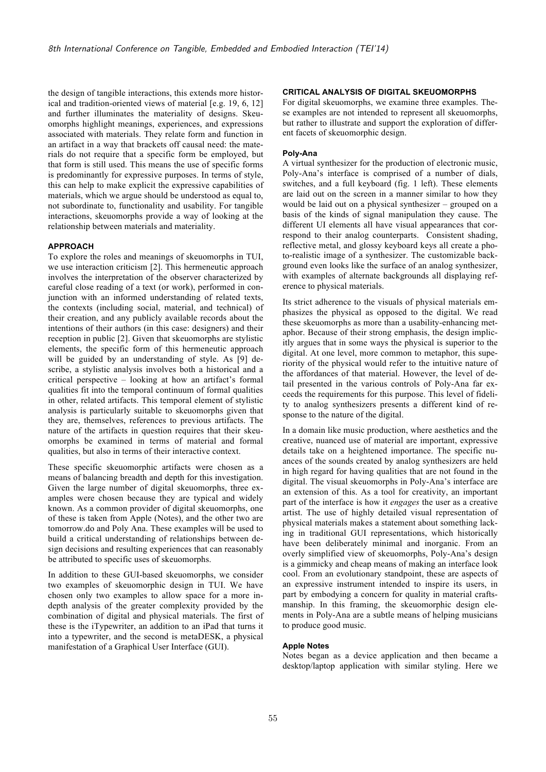the design of tangible interactions, this extends more historical and tradition-oriented views of material [e.g. 19, 6, 12] and further illuminates the materiality of designs. Skeuomorphs highlight meanings, experiences, and expressions associated with materials. They relate form and function in an artifact in a way that brackets off causal need: the materials do not require that a specific form be employed, but that form is still used. This means the use of specific forms is predominantly for expressive purposes. In terms of style, this can help to make explicit the expressive capabilities of materials, which we argue should be understood as equal to, not subordinate to, functionality and usability. For tangible interactions, skeuomorphs provide a way of looking at the relationship between materials and materiality.

## **APPROACH**

To explore the roles and meanings of skeuomorphs in TUI, we use interaction criticism [2]. This hermeneutic approach involves the interpretation of the observer characterized by careful close reading of a text (or work), performed in conjunction with an informed understanding of related texts, the contexts (including social, material, and technical) of their creation, and any publicly available records about the intentions of their authors (in this case: designers) and their reception in public [2]. Given that skeuomorphs are stylistic elements, the specific form of this hermeneutic approach will be guided by an understanding of style. As [9] describe, a stylistic analysis involves both a historical and a critical perspective – looking at how an artifact's formal qualities fit into the temporal continuum of formal qualities in other, related artifacts. This temporal element of stylistic analysis is particularly suitable to skeuomorphs given that they are, themselves, references to previous artifacts. The nature of the artifacts in question requires that their skeuomorphs be examined in terms of material and formal qualities, but also in terms of their interactive context.

These specific skeuomorphic artifacts were chosen as a means of balancing breadth and depth for this investigation. Given the large number of digital skeuomorphs, three examples were chosen because they are typical and widely known. As a common provider of digital skeuomorphs, one of these is taken from Apple (Notes), and the other two are tomorrow.do and Poly Ana. These examples will be used to build a critical understanding of relationships between design decisions and resulting experiences that can reasonably be attributed to specific uses of skeuomorphs.

In addition to these GUI-based skeuomorphs, we consider two examples of skeuomorphic design in TUI. We have chosen only two examples to allow space for a more indepth analysis of the greater complexity provided by the combination of digital and physical materials. The first of these is the iTypewriter, an addition to an iPad that turns it into a typewriter, and the second is metaDESK, a physical manifestation of a Graphical User Interface (GUI).

# **CRITICAL ANALYSIS OF DIGITAL SKEUOMORPHS**

For digital skeuomorphs, we examine three examples. These examples are not intended to represent all skeuomorphs, but rather to illustrate and support the exploration of different facets of skeuomorphic design.

## **Poly-Ana**

A virtual synthesizer for the production of electronic music, Poly-Ana's interface is comprised of a number of dials, switches, and a full keyboard (fig. 1 left). These elements are laid out on the screen in a manner similar to how they would be laid out on a physical synthesizer – grouped on a basis of the kinds of signal manipulation they cause. The different UI elements all have visual appearances that correspond to their analog counterparts. Consistent shading, reflective metal, and glossy keyboard keys all create a photo-realistic image of a synthesizer. The customizable background even looks like the surface of an analog synthesizer, with examples of alternate backgrounds all displaying reference to physical materials.

Its strict adherence to the visuals of physical materials emphasizes the physical as opposed to the digital. We read these skeuomorphs as more than a usability-enhancing metaphor. Because of their strong emphasis, the design implicitly argues that in some ways the physical is superior to the digital. At one level, more common to metaphor, this superiority of the physical would refer to the intuitive nature of the affordances of that material. However, the level of detail presented in the various controls of Poly-Ana far exceeds the requirements for this purpose. This level of fidelity to analog synthesizers presents a different kind of response to the nature of the digital.

In a domain like music production, where aesthetics and the creative, nuanced use of material are important, expressive details take on a heightened importance. The specific nuances of the sounds created by analog synthesizers are held in high regard for having qualities that are not found in the digital. The visual skeuomorphs in Poly-Ana's interface are an extension of this. As a tool for creativity, an important part of the interface is how it *engages* the user as a creative artist. The use of highly detailed visual representation of physical materials makes a statement about something lacking in traditional GUI representations, which historically have been deliberately minimal and inorganic. From an overly simplified view of skeuomorphs, Poly-Ana's design is a gimmicky and cheap means of making an interface look cool. From an evolutionary standpoint, these are aspects of an expressive instrument intended to inspire its users, in part by embodying a concern for quality in material craftsmanship. In this framing, the skeuomorphic design elements in Poly-Ana are a subtle means of helping musicians to produce good music.

# **Apple Notes**

Notes began as a device application and then became a desktop/laptop application with similar styling. Here we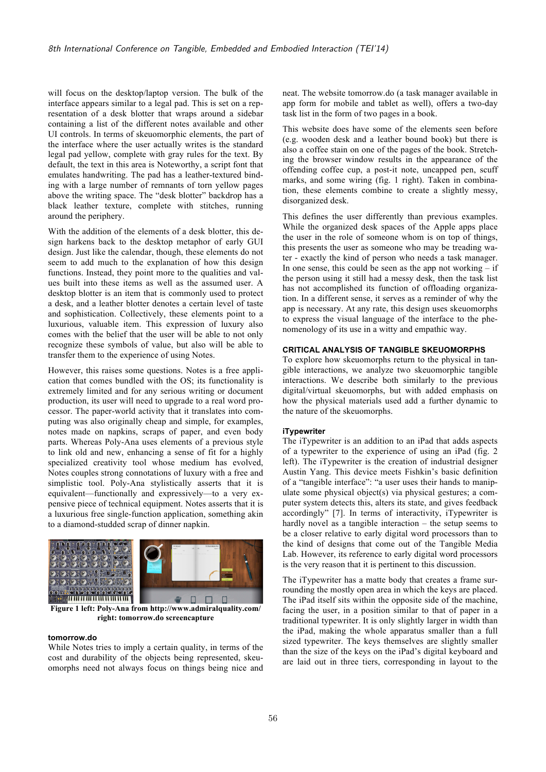will focus on the desktop/laptop version. The bulk of the interface appears similar to a legal pad. This is set on a representation of a desk blotter that wraps around a sidebar containing a list of the different notes available and other UI controls. In terms of skeuomorphic elements, the part of the interface where the user actually writes is the standard legal pad yellow, complete with gray rules for the text. By default, the text in this area is Noteworthy, a script font that emulates handwriting. The pad has a leather-textured binding with a large number of remnants of torn yellow pages above the writing space. The "desk blotter" backdrop has a black leather texture, complete with stitches, running around the periphery.

With the addition of the elements of a desk blotter, this design harkens back to the desktop metaphor of early GUI design. Just like the calendar, though, these elements do not seem to add much to the explanation of how this design functions. Instead, they point more to the qualities and values built into these items as well as the assumed user. A desktop blotter is an item that is commonly used to protect a desk, and a leather blotter denotes a certain level of taste and sophistication. Collectively, these elements point to a luxurious, valuable item. This expression of luxury also comes with the belief that the user will be able to not only recognize these symbols of value, but also will be able to transfer them to the experience of using Notes.

However, this raises some questions. Notes is a free application that comes bundled with the OS; its functionality is extremely limited and for any serious writing or document production, its user will need to upgrade to a real word processor. The paper-world activity that it translates into computing was also originally cheap and simple, for examples, notes made on napkins, scraps of paper, and even body parts. Whereas Poly-Ana uses elements of a previous style to link old and new, enhancing a sense of fit for a highly specialized creativity tool whose medium has evolved, Notes couples strong connotations of luxury with a free and simplistic tool. Poly-Ana stylistically asserts that it is equivalent—functionally and expressively—to a very expensive piece of technical equipment. Notes asserts that it is a luxurious free single-function application, something akin to a diamond-studded scrap of dinner napkin.



**Figure 1 left: Poly-Ana from http://www.admiralquality.com/ right: tomorrow.do screencapture**

# **tomorrow.do**

While Notes tries to imply a certain quality, in terms of the cost and durability of the objects being represented, skeuomorphs need not always focus on things being nice and neat. The website tomorrow.do (a task manager available in app form for mobile and tablet as well), offers a two-day task list in the form of two pages in a book.

This website does have some of the elements seen before (e.g. wooden desk and a leather bound book) but there is also a coffee stain on one of the pages of the book. Stretching the browser window results in the appearance of the offending coffee cup, a post-it note, uncapped pen, scuff marks, and some wiring (fig. 1 right). Taken in combination, these elements combine to create a slightly messy, disorganized desk.

This defines the user differently than previous examples. While the organized desk spaces of the Apple apps place the user in the role of someone whom is on top of things, this presents the user as someone who may be treading water - exactly the kind of person who needs a task manager. In one sense, this could be seen as the app not working  $-$  if the person using it still had a messy desk, then the task list has not accomplished its function of offloading organization. In a different sense, it serves as a reminder of why the app is necessary. At any rate, this design uses skeuomorphs to express the visual language of the interface to the phenomenology of its use in a witty and empathic way.

# **CRITICAL ANALYSIS OF TANGIBLE SKEUOMORPHS**

To explore how skeuomorphs return to the physical in tangible interactions, we analyze two skeuomorphic tangible interactions. We describe both similarly to the previous digital/virtual skeuomorphs, but with added emphasis on how the physical materials used add a further dynamic to the nature of the skeuomorphs.

#### **iTypewriter**

The iTypewriter is an addition to an iPad that adds aspects of a typewriter to the experience of using an iPad (fig. 2 left). The iTypewriter is the creation of industrial designer Austin Yang. This device meets Fishkin's basic definition of a "tangible interface": "a user uses their hands to manipulate some physical object(s) via physical gestures; a computer system detects this, alters its state, and gives feedback accordingly" [7]. In terms of interactivity, iTypewriter is hardly novel as a tangible interaction – the setup seems to be a closer relative to early digital word processors than to the kind of designs that come out of the Tangible Media Lab. However, its reference to early digital word processors is the very reason that it is pertinent to this discussion.

The iTypewriter has a matte body that creates a frame surrounding the mostly open area in which the keys are placed. The iPad itself sits within the opposite side of the machine, facing the user, in a position similar to that of paper in a traditional typewriter. It is only slightly larger in width than the iPad, making the whole apparatus smaller than a full sized typewriter. The keys themselves are slightly smaller than the size of the keys on the iPad's digital keyboard and are laid out in three tiers, corresponding in layout to the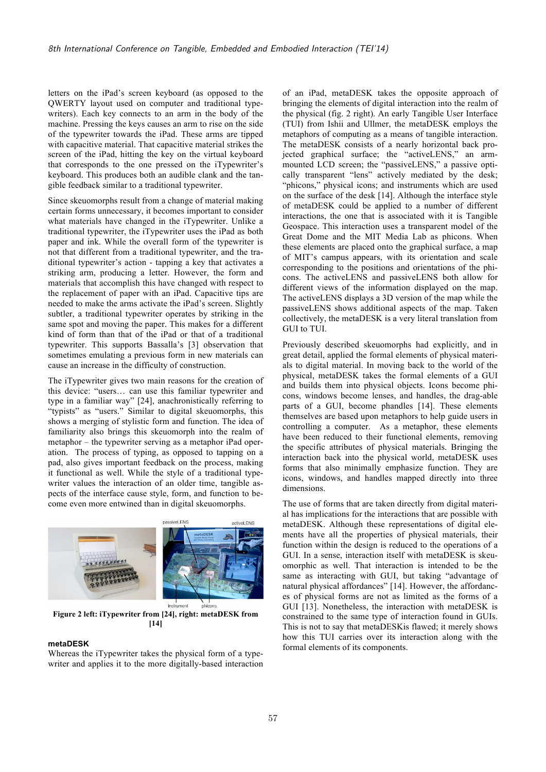letters on the iPad's screen keyboard (as opposed to the QWERTY layout used on computer and traditional typewriters). Each key connects to an arm in the body of the machine. Pressing the keys causes an arm to rise on the side of the typewriter towards the iPad. These arms are tipped with capacitive material. That capacitive material strikes the screen of the iPad, hitting the key on the virtual keyboard that corresponds to the one pressed on the iTypewriter's keyboard. This produces both an audible clank and the tangible feedback similar to a traditional typewriter.

Since skeuomorphs result from a change of material making certain forms unnecessary, it becomes important to consider what materials have changed in the iTypewriter. Unlike a traditional typewriter, the iTypewriter uses the iPad as both paper and ink. While the overall form of the typewriter is not that different from a traditional typewriter, and the traditional typewriter's action - tapping a key that activates a striking arm, producing a letter. However, the form and materials that accomplish this have changed with respect to the replacement of paper with an iPad. Capacitive tips are needed to make the arms activate the iPad's screen. Slightly subtler, a traditional typewriter operates by striking in the same spot and moving the paper. This makes for a different kind of form than that of the iPad or that of a traditional typewriter. This supports Bassalla's [3] observation that sometimes emulating a previous form in new materials can cause an increase in the difficulty of construction.

The iTypewriter gives two main reasons for the creation of this device: "users… can use this familiar typewriter and type in a familiar way" [24], anachronistically referring to "typists" as "users." Similar to digital skeuomorphs, this shows a merging of stylistic form and function. The idea of familiarity also brings this skeuomorph into the realm of metaphor – the typewriter serving as a metaphor iPad operation. The process of typing, as opposed to tapping on a pad, also gives important feedback on the process, making it functional as well. While the style of a traditional typewriter values the interaction of an older time, tangible aspects of the interface cause style, form, and function to become even more entwined than in digital skeuomorphs.



**Figure 2 left: iTypewriter from [24], right: metaDESK from [14]**

## **metaDESK**

Whereas the iTypewriter takes the physical form of a typewriter and applies it to the more digitally-based interaction of an iPad, metaDESK takes the opposite approach of bringing the elements of digital interaction into the realm of the physical (fig. 2 right). An early Tangible User Interface (TUI) from Ishii and Ullmer, the metaDESK employs the metaphors of computing as a means of tangible interaction. The metaDESK consists of a nearly horizontal back projected graphical surface; the "activeLENS," an armmounted LCD screen; the "passiveLENS," a passive optically transparent "lens" actively mediated by the desk; "phicons," physical icons; and instruments which are used on the surface of the desk [14]. Although the interface style of metaDESK could be applied to a number of different interactions, the one that is associated with it is Tangible Geospace. This interaction uses a transparent model of the Great Dome and the MIT Media Lab as phicons. When these elements are placed onto the graphical surface, a map of MIT's campus appears, with its orientation and scale corresponding to the positions and orientations of the phicons. The activeLENS and passiveLENS both allow for different views of the information displayed on the map. The activeLENS displays a 3D version of the map while the passiveLENS shows additional aspects of the map. Taken collectively, the metaDESK is a very literal translation from GUI to TUI.

Previously described skeuomorphs had explicitly, and in great detail, applied the formal elements of physical materials to digital material. In moving back to the world of the physical, metaDESK takes the formal elements of a GUI and builds them into physical objects. Icons become phicons, windows become lenses, and handles, the drag-able parts of a GUI, become phandles [14]. These elements themselves are based upon metaphors to help guide users in controlling a computer. As a metaphor, these elements have been reduced to their functional elements, removing the specific attributes of physical materials. Bringing the interaction back into the physical world, metaDESK uses forms that also minimally emphasize function. They are icons, windows, and handles mapped directly into three dimensions.

The use of forms that are taken directly from digital material has implications for the interactions that are possible with metaDESK. Although these representations of digital elements have all the properties of physical materials, their function within the design is reduced to the operations of a GUI. In a sense, interaction itself with metaDESK is skeuomorphic as well. That interaction is intended to be the same as interacting with GUI, but taking "advantage of natural physical affordances" [14]. However, the affordances of physical forms are not as limited as the forms of a GUI [13]. Nonetheless, the interaction with metaDESK is constrained to the same type of interaction found in GUIs. This is not to say that metaDESKis flawed; it merely shows how this TUI carries over its interaction along with the formal elements of its components.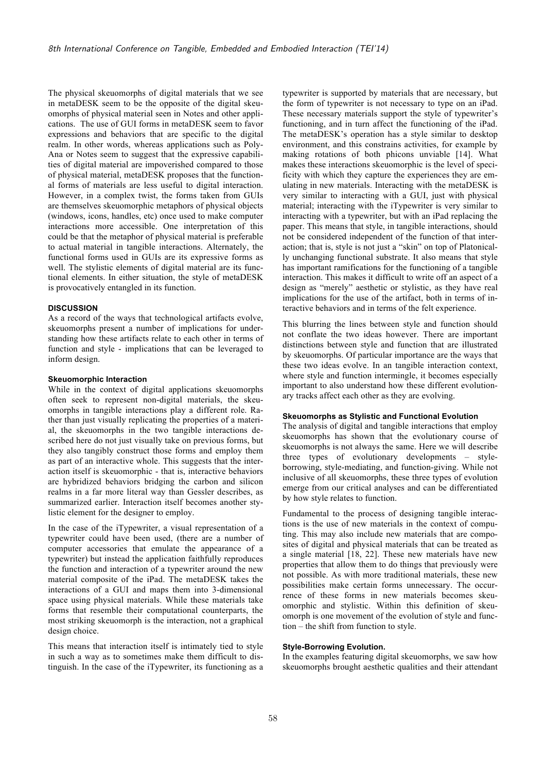The physical skeuomorphs of digital materials that we see in metaDESK seem to be the opposite of the digital skeuomorphs of physical material seen in Notes and other applications. The use of GUI forms in metaDESK seem to favor expressions and behaviors that are specific to the digital realm. In other words, whereas applications such as Poly-Ana or Notes seem to suggest that the expressive capabilities of digital material are impoverished compared to those of physical material, metaDESK proposes that the functional forms of materials are less useful to digital interaction. However, in a complex twist, the forms taken from GUIs are themselves skeuomorphic metaphors of physical objects (windows, icons, handles, etc) once used to make computer interactions more accessible. One interpretation of this could be that the metaphor of physical material is preferable to actual material in tangible interactions. Alternately, the functional forms used in GUIs are its expressive forms as well. The stylistic elements of digital material are its functional elements. In either situation, the style of metaDESK is provocatively entangled in its function.

# **DISCUSSION**

As a record of the ways that technological artifacts evolve, skeuomorphs present a number of implications for understanding how these artifacts relate to each other in terms of function and style - implications that can be leveraged to inform design.

# **Skeuomorphic Interaction**

While in the context of digital applications skeuomorphs often seek to represent non-digital materials, the skeuomorphs in tangible interactions play a different role. Rather than just visually replicating the properties of a material, the skeuomorphs in the two tangible interactions described here do not just visually take on previous forms, but they also tangibly construct those forms and employ them as part of an interactive whole. This suggests that the interaction itself is skeuomorphic - that is, interactive behaviors are hybridized behaviors bridging the carbon and silicon realms in a far more literal way than Gessler describes, as summarized earlier. Interaction itself becomes another stylistic element for the designer to employ.

In the case of the iTypewriter, a visual representation of a typewriter could have been used, (there are a number of computer accessories that emulate the appearance of a typewriter) but instead the application faithfully reproduces the function and interaction of a typewriter around the new material composite of the iPad. The metaDESK takes the interactions of a GUI and maps them into 3-dimensional space using physical materials. While these materials take forms that resemble their computational counterparts, the most striking skeuomorph is the interaction, not a graphical design choice.

This means that interaction itself is intimately tied to style in such a way as to sometimes make them difficult to distinguish. In the case of the iTypewriter, its functioning as a typewriter is supported by materials that are necessary, but the form of typewriter is not necessary to type on an iPad. These necessary materials support the style of typewriter's functioning, and in turn affect the functioning of the iPad. The metaDESK's operation has a style similar to desktop environment, and this constrains activities, for example by making rotations of both phicons unviable [14]. What makes these interactions skeuomorphic is the level of specificity with which they capture the experiences they are emulating in new materials. Interacting with the metaDESK is very similar to interacting with a GUI, just with physical material; interacting with the iTypewriter is very similar to interacting with a typewriter, but with an iPad replacing the paper. This means that style, in tangible interactions, should not be considered independent of the function of that interaction; that is, style is not just a "skin" on top of Platonically unchanging functional substrate. It also means that style has important ramifications for the functioning of a tangible interaction. This makes it difficult to write off an aspect of a design as "merely" aesthetic or stylistic, as they have real implications for the use of the artifact, both in terms of interactive behaviors and in terms of the felt experience.

This blurring the lines between style and function should not conflate the two ideas however. There are important distinctions between style and function that are illustrated by skeuomorphs. Of particular importance are the ways that these two ideas evolve. In an tangible interaction context, where style and function intermingle, it becomes especially important to also understand how these different evolutionary tracks affect each other as they are evolving.

## **Skeuomorphs as Stylistic and Functional Evolution**

The analysis of digital and tangible interactions that employ skeuomorphs has shown that the evolutionary course of skeuomorphs is not always the same. Here we will describe three types of evolutionary developments – styleborrowing, style-mediating, and function-giving. While not inclusive of all skeuomorphs, these three types of evolution emerge from our critical analyses and can be differentiated by how style relates to function.

Fundamental to the process of designing tangible interactions is the use of new materials in the context of computing. This may also include new materials that are composites of digital and physical materials that can be treated as a single material [18, 22]. These new materials have new properties that allow them to do things that previously were not possible. As with more traditional materials, these new possibilities make certain forms unnecessary. The occurrence of these forms in new materials becomes skeuomorphic and stylistic. Within this definition of skeuomorph is one movement of the evolution of style and function – the shift from function to style.

# **Style-Borrowing Evolution.**

In the examples featuring digital skeuomorphs, we saw how skeuomorphs brought aesthetic qualities and their attendant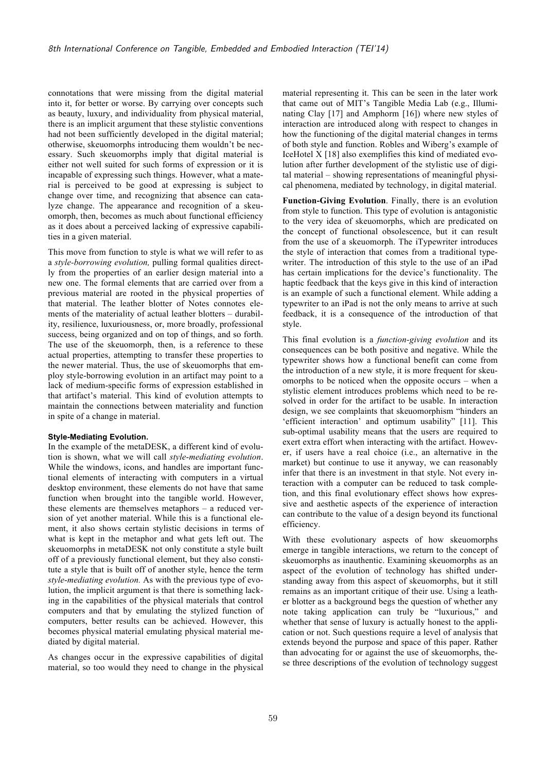connotations that were missing from the digital material into it, for better or worse. By carrying over concepts such as beauty, luxury, and individuality from physical material, there is an implicit argument that these stylistic conventions had not been sufficiently developed in the digital material; otherwise, skeuomorphs introducing them wouldn't be necessary. Such skeuomorphs imply that digital material is either not well suited for such forms of expression or it is incapable of expressing such things. However, what a material is perceived to be good at expressing is subject to change over time, and recognizing that absence can catalyze change. The appearance and recognition of a skeuomorph, then, becomes as much about functional efficiency as it does about a perceived lacking of expressive capabilities in a given material.

This move from function to style is what we will refer to as a *style-borrowing evolution,* pulling formal qualities directly from the properties of an earlier design material into a new one. The formal elements that are carried over from a previous material are rooted in the physical properties of that material. The leather blotter of Notes connotes elements of the materiality of actual leather blotters – durability, resilience, luxuriousness, or, more broadly, professional success, being organized and on top of things, and so forth. The use of the skeuomorph, then, is a reference to these actual properties, attempting to transfer these properties to the newer material. Thus, the use of skeuomorphs that employ style-borrowing evolution in an artifact may point to a lack of medium-specific forms of expression established in that artifact's material. This kind of evolution attempts to maintain the connections between materiality and function in spite of a change in material.

## **Style-Mediating Evolution.**

In the example of the metaDESK, a different kind of evolution is shown, what we will call *style*-*mediating evolution*. While the windows, icons, and handles are important functional elements of interacting with computers in a virtual desktop environment, these elements do not have that same function when brought into the tangible world. However, these elements are themselves metaphors – a reduced version of yet another material. While this is a functional element, it also shows certain stylistic decisions in terms of what is kept in the metaphor and what gets left out. The skeuomorphs in metaDESK not only constitute a style built off of a previously functional element, but they also constitute a style that is built off of another style, hence the term *style*-*mediating evolution.* As with the previous type of evolution, the implicit argument is that there is something lacking in the capabilities of the physical materials that control computers and that by emulating the stylized function of computers, better results can be achieved. However, this becomes physical material emulating physical material mediated by digital material.

As changes occur in the expressive capabilities of digital material, so too would they need to change in the physical material representing it. This can be seen in the later work that came out of MIT's Tangible Media Lab (e.g., Illuminating Clay [17] and Amphorm [16]) where new styles of interaction are introduced along with respect to changes in how the functioning of the digital material changes in terms of both style and function. Robles and Wiberg's example of IceHotel X [18] also exemplifies this kind of mediated evolution after further development of the stylistic use of digital material – showing representations of meaningful physical phenomena, mediated by technology, in digital material.

**Function-Giving Evolution**. Finally, there is an evolution from style to function. This type of evolution is antagonistic to the very idea of skeuomorphs, which are predicated on the concept of functional obsolescence, but it can result from the use of a skeuomorph. The iTypewriter introduces the style of interaction that comes from a traditional typewriter. The introduction of this style to the use of an iPad has certain implications for the device's functionality. The haptic feedback that the keys give in this kind of interaction is an example of such a functional element. While adding a typewriter to an iPad is not the only means to arrive at such feedback, it is a consequence of the introduction of that style.

This final evolution is a *function-giving evolution* and its consequences can be both positive and negative. While the typewriter shows how a functional benefit can come from the introduction of a new style, it is more frequent for skeuomorphs to be noticed when the opposite occurs – when a stylistic element introduces problems which need to be resolved in order for the artifact to be usable. In interaction design, we see complaints that skeuomorphism "hinders an 'efficient interaction' and optimum usability" [11]. This sub-optimal usability means that the users are required to exert extra effort when interacting with the artifact. However, if users have a real choice (i.e., an alternative in the market) but continue to use it anyway, we can reasonably infer that there is an investment in that style. Not every interaction with a computer can be reduced to task completion, and this final evolutionary effect shows how expressive and aesthetic aspects of the experience of interaction can contribute to the value of a design beyond its functional efficiency.

With these evolutionary aspects of how skeuomorphs emerge in tangible interactions, we return to the concept of skeuomorphs as inauthentic. Examining skeuomorphs as an aspect of the evolution of technology has shifted understanding away from this aspect of skeuomorphs, but it still remains as an important critique of their use. Using a leather blotter as a background begs the question of whether any note taking application can truly be "luxurious," and whether that sense of luxury is actually honest to the application or not. Such questions require a level of analysis that extends beyond the purpose and space of this paper. Rather than advocating for or against the use of skeuomorphs, these three descriptions of the evolution of technology suggest